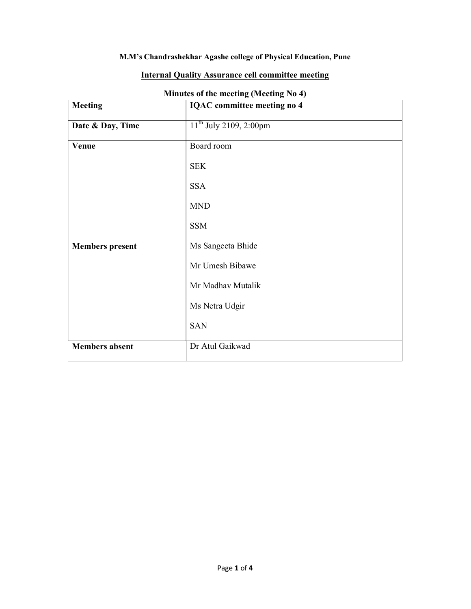## M.M's Chandrashekhar Agashe college of Physical Education, Pune

|  |  | <b>Internal Quality Assurance cell committee meeting</b> |
|--|--|----------------------------------------------------------|
|--|--|----------------------------------------------------------|

| <b>Meeting</b>         | $\frac{1}{2}$ of the meeting (integrating 1.0 $\frac{1}{2}$ )<br><b>IQAC</b> committee meeting no 4 |  |
|------------------------|-----------------------------------------------------------------------------------------------------|--|
| Date & Day, Time       | $11^{th}$ July 2109, 2:00pm                                                                         |  |
| Venue                  | Board room                                                                                          |  |
|                        | <b>SEK</b>                                                                                          |  |
|                        | <b>SSA</b>                                                                                          |  |
|                        | <b>MND</b>                                                                                          |  |
|                        | <b>SSM</b>                                                                                          |  |
| <b>Members</b> present | Ms Sangeeta Bhide                                                                                   |  |
|                        | Mr Umesh Bibawe                                                                                     |  |
|                        | Mr Madhav Mutalik                                                                                   |  |
|                        | Ms Netra Udgir                                                                                      |  |
|                        | <b>SAN</b>                                                                                          |  |
| <b>Members</b> absent  | Dr Atul Gaikwad                                                                                     |  |

## Minutes of the meeting (Meeting No 4)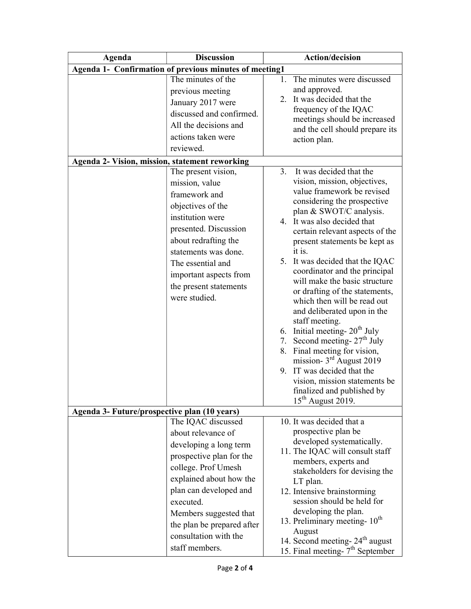| Agenda                                                 | <b>Discussion</b>          |    | <b>Action/decision</b>                                                                      |  |
|--------------------------------------------------------|----------------------------|----|---------------------------------------------------------------------------------------------|--|
| Agenda 1- Confirmation of previous minutes of meeting1 |                            |    |                                                                                             |  |
|                                                        | The minutes of the         | 1. | The minutes were discussed                                                                  |  |
|                                                        | previous meeting           |    | and approved.                                                                               |  |
|                                                        | January 2017 were          |    | 2. It was decided that the                                                                  |  |
|                                                        | discussed and confirmed.   |    | frequency of the IQAC                                                                       |  |
|                                                        | All the decisions and      |    | meetings should be increased<br>and the cell should prepare its                             |  |
|                                                        | actions taken were         |    | action plan.                                                                                |  |
|                                                        | reviewed.                  |    |                                                                                             |  |
| Agenda 2- Vision, mission, statement reworking         |                            |    |                                                                                             |  |
|                                                        | The present vision,        |    | 3. It was decided that the                                                                  |  |
|                                                        | mission, value             |    | vision, mission, objectives,                                                                |  |
|                                                        | framework and              |    | value framework be revised                                                                  |  |
|                                                        | objectives of the          |    | considering the prospective<br>plan & SWOT/C analysis.                                      |  |
|                                                        | institution were           |    | 4. It was also decided that                                                                 |  |
|                                                        | presented. Discussion      |    | certain relevant aspects of the                                                             |  |
|                                                        | about redrafting the       |    | present statements be kept as                                                               |  |
|                                                        | statements was done.       |    | it is.                                                                                      |  |
|                                                        | The essential and          |    | 5. It was decided that the IQAC                                                             |  |
|                                                        | important aspects from     |    | coordinator and the principal                                                               |  |
|                                                        | the present statements     |    | will make the basic structure                                                               |  |
|                                                        | were studied.              |    | or drafting of the statements,<br>which then will be read out                               |  |
|                                                        |                            |    | and deliberated upon in the                                                                 |  |
|                                                        |                            |    | staff meeting.                                                                              |  |
|                                                        |                            |    | 6. Initial meeting- $20th$ July                                                             |  |
|                                                        |                            |    | 7. Second meeting- $27th$ July                                                              |  |
|                                                        |                            |    | 8. Final meeting for vision,                                                                |  |
|                                                        |                            |    | mission- $3rd$ August 2019                                                                  |  |
|                                                        |                            |    | 9. IT was decided that the                                                                  |  |
|                                                        |                            |    | vision, mission statements be<br>finalized and published by                                 |  |
|                                                        |                            |    | 15 <sup>th</sup> August 2019.                                                               |  |
| Agenda 3- Future/prospective plan (10 years)           |                            |    |                                                                                             |  |
|                                                        | The IQAC discussed         |    | 10. It was decided that a                                                                   |  |
|                                                        | about relevance of         |    | prospective plan be                                                                         |  |
|                                                        | developing a long term     |    | developed systematically.                                                                   |  |
|                                                        | prospective plan for the   |    | 11. The IQAC will consult staff                                                             |  |
|                                                        | college. Prof Umesh        |    | members, experts and<br>stakeholders for devising the                                       |  |
|                                                        | explained about how the    |    | LT plan.                                                                                    |  |
|                                                        | plan can developed and     |    | 12. Intensive brainstorming                                                                 |  |
|                                                        | executed.                  |    | session should be held for                                                                  |  |
|                                                        | Members suggested that     |    | developing the plan.                                                                        |  |
|                                                        | the plan be prepared after |    | 13. Preliminary meeting- 10 <sup>th</sup>                                                   |  |
|                                                        | consultation with the      |    | August                                                                                      |  |
|                                                        | staff members.             |    | 14. Second meeting- 24 <sup>th</sup> august<br>15. Final meeting- 7 <sup>th</sup> September |  |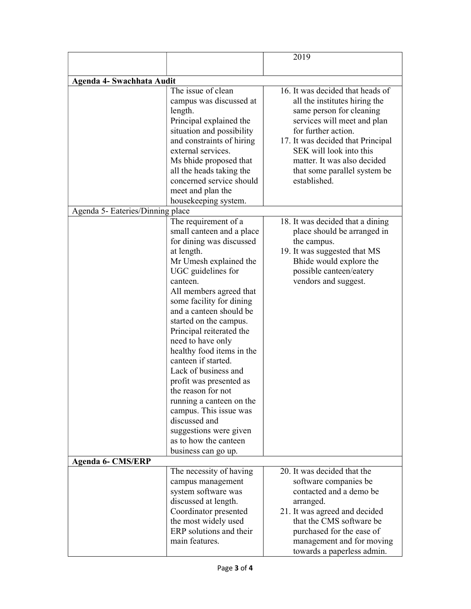|                                  |                                                                                                                                                                                                                                                                                                                                                                                                                                                                                                                   | 2019                                                                                                                                                                                                                                                                                                                                                                                 |
|----------------------------------|-------------------------------------------------------------------------------------------------------------------------------------------------------------------------------------------------------------------------------------------------------------------------------------------------------------------------------------------------------------------------------------------------------------------------------------------------------------------------------------------------------------------|--------------------------------------------------------------------------------------------------------------------------------------------------------------------------------------------------------------------------------------------------------------------------------------------------------------------------------------------------------------------------------------|
|                                  |                                                                                                                                                                                                                                                                                                                                                                                                                                                                                                                   |                                                                                                                                                                                                                                                                                                                                                                                      |
| Agenda 4- Swachhata Audit        |                                                                                                                                                                                                                                                                                                                                                                                                                                                                                                                   |                                                                                                                                                                                                                                                                                                                                                                                      |
| Agenda 5- Eateries/Dinning place | The issue of clean<br>campus was discussed at<br>length.<br>Principal explained the<br>situation and possibility<br>and constraints of hiring<br>external services.<br>Ms bhide proposed that<br>all the heads taking the<br>concerned service should<br>meet and plan the<br>housekeeping system.<br>The requirement of a<br>small canteen and a place<br>for dining was discussed                                                                                                                               | 16. It was decided that heads of<br>all the institutes hiring the<br>same person for cleaning<br>services will meet and plan<br>for further action.<br>17. It was decided that Principal<br>SEK will look into this<br>matter. It was also decided<br>that some parallel system be<br>established.<br>18. It was decided that a dining<br>place should be arranged in<br>the campus. |
|                                  | at length.<br>Mr Umesh explained the<br>UGC guidelines for<br>canteen.<br>All members agreed that<br>some facility for dining<br>and a canteen should be<br>started on the campus.<br>Principal reiterated the<br>need to have only<br>healthy food items in the<br>canteen if started.<br>Lack of business and<br>profit was presented as<br>the reason for not<br>running a canteen on the<br>campus. This issue was<br>discussed and<br>suggestions were given<br>as to how the canteen<br>business can go up. | 19. It was suggested that MS<br>Bhide would explore the<br>possible canteen/eatery<br>vendors and suggest.                                                                                                                                                                                                                                                                           |
| <b>Agenda 6- CMS/ERP</b>         | The necessity of having<br>campus management<br>system software was<br>discussed at length.<br>Coordinator presented<br>the most widely used<br>ERP solutions and their<br>main features.                                                                                                                                                                                                                                                                                                                         | 20. It was decided that the<br>software companies be<br>contacted and a demo be<br>arranged.<br>21. It was agreed and decided<br>that the CMS software be<br>purchased for the ease of<br>management and for moving<br>towards a paperless admin.                                                                                                                                    |